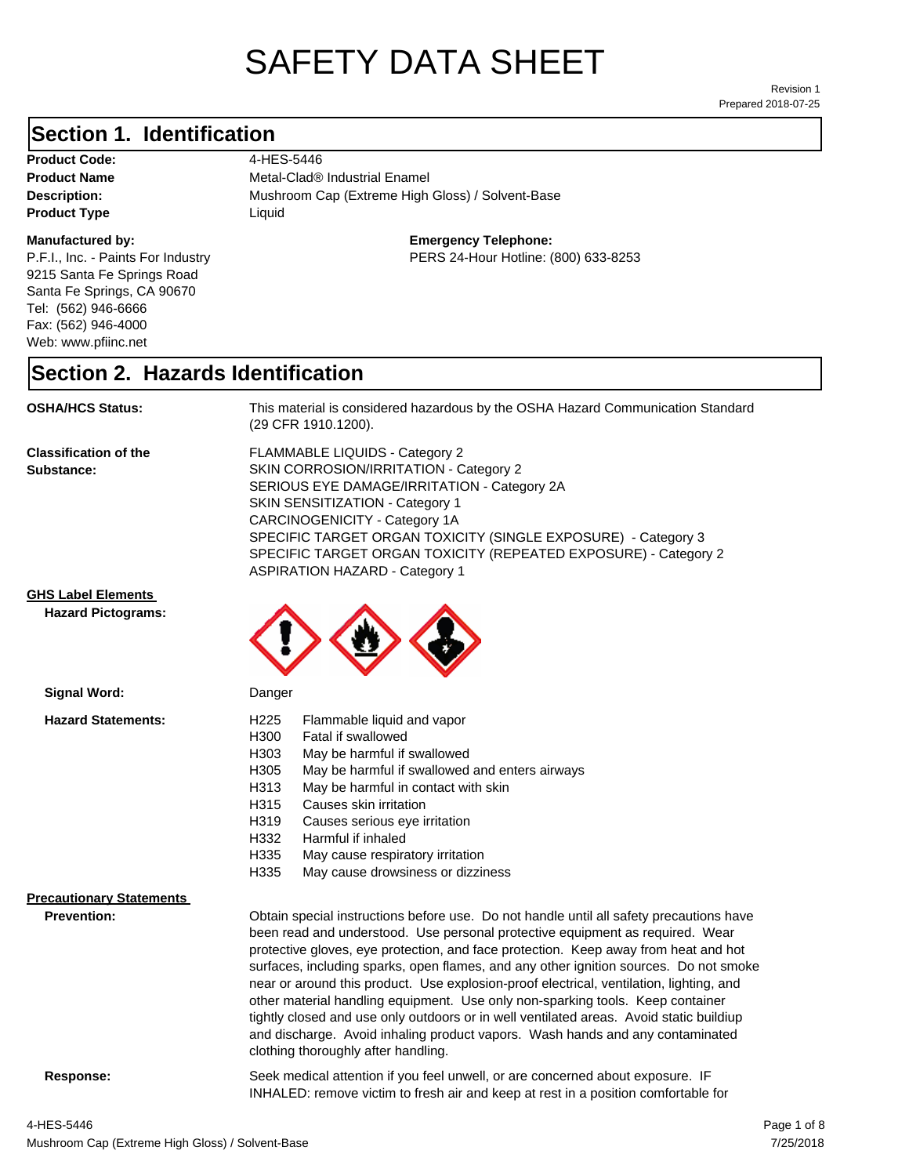# SAFETY DATA SHEET

Prepared 2018-07-25 Revision 1

## **Section 1. Identification**

Product Code: 4-HES-5446 **Product Type Liquid Liquid** 

### **Manufactured by:**

P.F.I., Inc. - Paints For Industry 9215 Santa Fe Springs Road Santa Fe Springs, CA 90670 Tel: (562) 946-6666 Fax: (562) 946-4000 Web: www.pfiinc.net

**Product Name** Metal-Clad<sup>®</sup> Industrial Enamel

**Description:** Mushroom Cap (Extreme High Gloss) / Solvent-Base

**Emergency Telephone:**

PERS 24-Hour Hotline: (800) 633-8253

## **Section 2. Hazards Identification**

**OSHA/HCS Status:** This material is considered hazardous by the OSHA Hazard Communication Standard (29 CFR 1910.1200).

**Classification of the Substance:**

FLAMMABLE LIQUIDS - Category 2 SKIN CORROSION/IRRITATION - Category 2 SERIOUS EYE DAMAGE/IRRITATION - Category 2A SKIN SENSITIZATION - Category 1 CARCINOGENICITY - Category 1A SPECIFIC TARGET ORGAN TOXICITY (SINGLE EXPOSURE) - Category 3 SPECIFIC TARGET ORGAN TOXICITY (REPEATED EXPOSURE) - Category 2 ASPIRATION HAZARD - Category 1

### **GHS Label Elements**

**Signal Word:**

**Hazard Pictograms:**



| <b>Hazard Statements:</b>       | H <sub>225</sub><br>Flammable liquid and vapor<br>H300<br>Fatal if swallowed<br>H303<br>May be harmful if swallowed<br>H305<br>May be harmful if swallowed and enters airways<br>May be harmful in contact with skin<br>H313                                                                                                                                                                                                                                                                                                                                                                                                                                                                                                                             |
|---------------------------------|----------------------------------------------------------------------------------------------------------------------------------------------------------------------------------------------------------------------------------------------------------------------------------------------------------------------------------------------------------------------------------------------------------------------------------------------------------------------------------------------------------------------------------------------------------------------------------------------------------------------------------------------------------------------------------------------------------------------------------------------------------|
|                                 | H315<br>Causes skin irritation                                                                                                                                                                                                                                                                                                                                                                                                                                                                                                                                                                                                                                                                                                                           |
|                                 | H319<br>Causes serious eye irritation                                                                                                                                                                                                                                                                                                                                                                                                                                                                                                                                                                                                                                                                                                                    |
|                                 | H332<br>Harmful if inhaled                                                                                                                                                                                                                                                                                                                                                                                                                                                                                                                                                                                                                                                                                                                               |
|                                 | H335<br>May cause respiratory irritation                                                                                                                                                                                                                                                                                                                                                                                                                                                                                                                                                                                                                                                                                                                 |
|                                 | H335<br>May cause drowsiness or dizziness                                                                                                                                                                                                                                                                                                                                                                                                                                                                                                                                                                                                                                                                                                                |
| <b>Precautionary Statements</b> |                                                                                                                                                                                                                                                                                                                                                                                                                                                                                                                                                                                                                                                                                                                                                          |
| <b>Prevention:</b>              | Obtain special instructions before use. Do not handle until all safety precautions have<br>been read and understood. Use personal protective equipment as required. Wear<br>protective gloves, eye protection, and face protection. Keep away from heat and hot<br>surfaces, including sparks, open flames, and any other ignition sources. Do not smoke<br>near or around this product. Use explosion-proof electrical, ventilation, lighting, and<br>other material handling equipment. Use only non-sparking tools. Keep container<br>tightly closed and use only outdoors or in well ventilated areas. Avoid static buildiup<br>and discharge. Avoid inhaling product vapors. Wash hands and any contaminated<br>clothing thoroughly after handling. |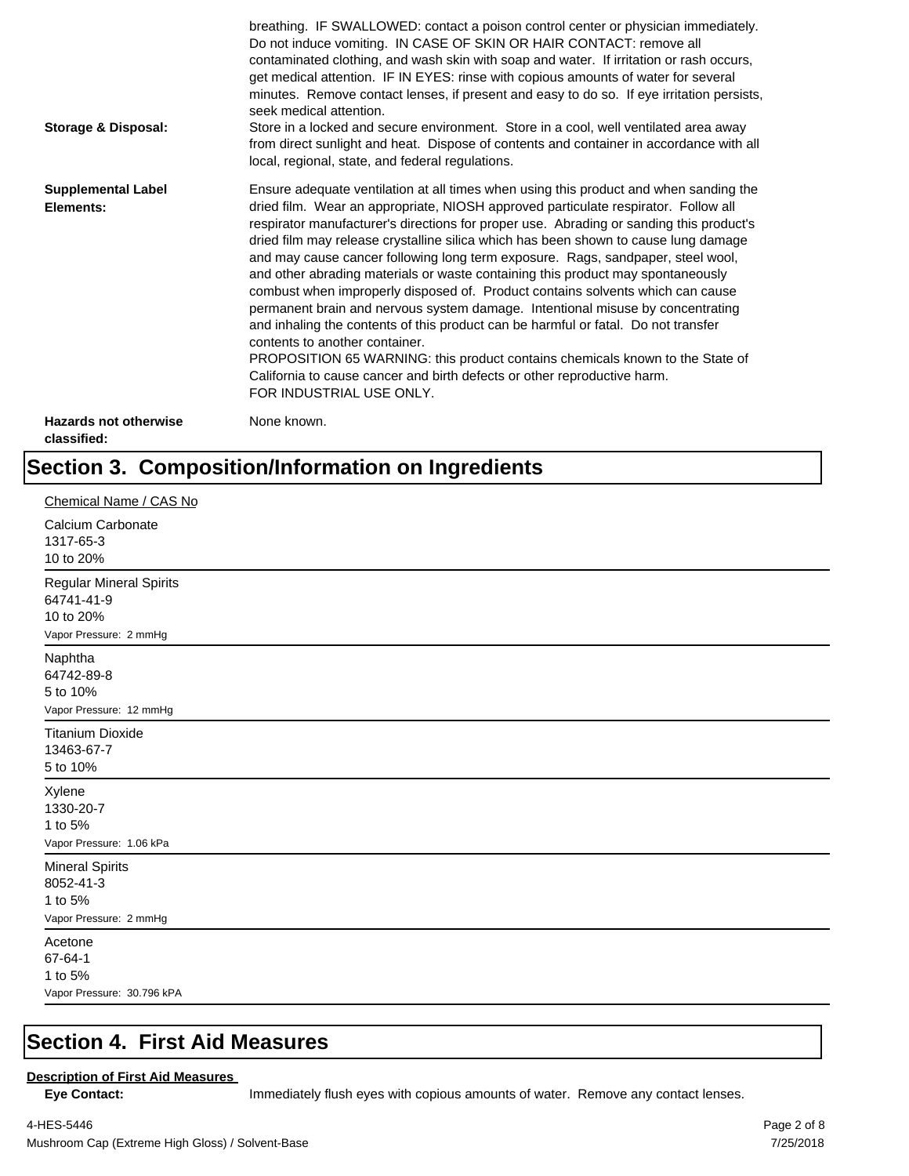| <b>Storage &amp; Disposal:</b>              | breathing. IF SWALLOWED: contact a poison control center or physician immediately.<br>Do not induce vomiting. IN CASE OF SKIN OR HAIR CONTACT: remove all<br>contaminated clothing, and wash skin with soap and water. If irritation or rash occurs,<br>get medical attention. IF IN EYES: rinse with copious amounts of water for several<br>minutes. Remove contact lenses, if present and easy to do so. If eye irritation persists,<br>seek medical attention.<br>Store in a locked and secure environment. Store in a cool, well ventilated area away<br>from direct sunlight and heat. Dispose of contents and container in accordance with all<br>local, regional, state, and federal regulations.                                                                                                                                                                                                                                                                                                                |
|---------------------------------------------|--------------------------------------------------------------------------------------------------------------------------------------------------------------------------------------------------------------------------------------------------------------------------------------------------------------------------------------------------------------------------------------------------------------------------------------------------------------------------------------------------------------------------------------------------------------------------------------------------------------------------------------------------------------------------------------------------------------------------------------------------------------------------------------------------------------------------------------------------------------------------------------------------------------------------------------------------------------------------------------------------------------------------|
| <b>Supplemental Label</b><br>Elements:      | Ensure adequate ventilation at all times when using this product and when sanding the<br>dried film. Wear an appropriate, NIOSH approved particulate respirator. Follow all<br>respirator manufacturer's directions for proper use. Abrading or sanding this product's<br>dried film may release crystalline silica which has been shown to cause lung damage<br>and may cause cancer following long term exposure. Rags, sandpaper, steel wool,<br>and other abrading materials or waste containing this product may spontaneously<br>combust when improperly disposed of. Product contains solvents which can cause<br>permanent brain and nervous system damage. Intentional misuse by concentrating<br>and inhaling the contents of this product can be harmful or fatal. Do not transfer<br>contents to another container.<br>PROPOSITION 65 WARNING: this product contains chemicals known to the State of<br>California to cause cancer and birth defects or other reproductive harm.<br>FOR INDUSTRIAL USE ONLY. |
| <b>Hazards not otherwise</b><br>classified: | None known.                                                                                                                                                                                                                                                                                                                                                                                                                                                                                                                                                                                                                                                                                                                                                                                                                                                                                                                                                                                                              |

## **Section 3. Composition/Information on Ingredients**

| Chemical Name / CAS No                                                              |
|-------------------------------------------------------------------------------------|
| Calcium Carbonate<br>1317-65-3<br>10 to 20%                                         |
| <b>Regular Mineral Spirits</b><br>64741-41-9<br>10 to 20%<br>Vapor Pressure: 2 mmHg |
| Naphtha<br>64742-89-8<br>5 to 10%<br>Vapor Pressure: 12 mmHg                        |
| <b>Titanium Dioxide</b><br>13463-67-7<br>5 to 10%                                   |
| Xylene<br>1330-20-7<br>1 to 5%<br>Vapor Pressure: 1.06 kPa                          |
| <b>Mineral Spirits</b><br>8052-41-3<br>1 to 5%<br>Vapor Pressure: 2 mmHg            |
| Acetone<br>67-64-1<br>1 to 5%<br>Vapor Pressure: 30.796 kPA                         |

## **Section 4. First Aid Measures**

### **Description of First Aid Measures**

Eye Contact: **IMMED** Immediately flush eyes with copious amounts of water. Remove any contact lenses.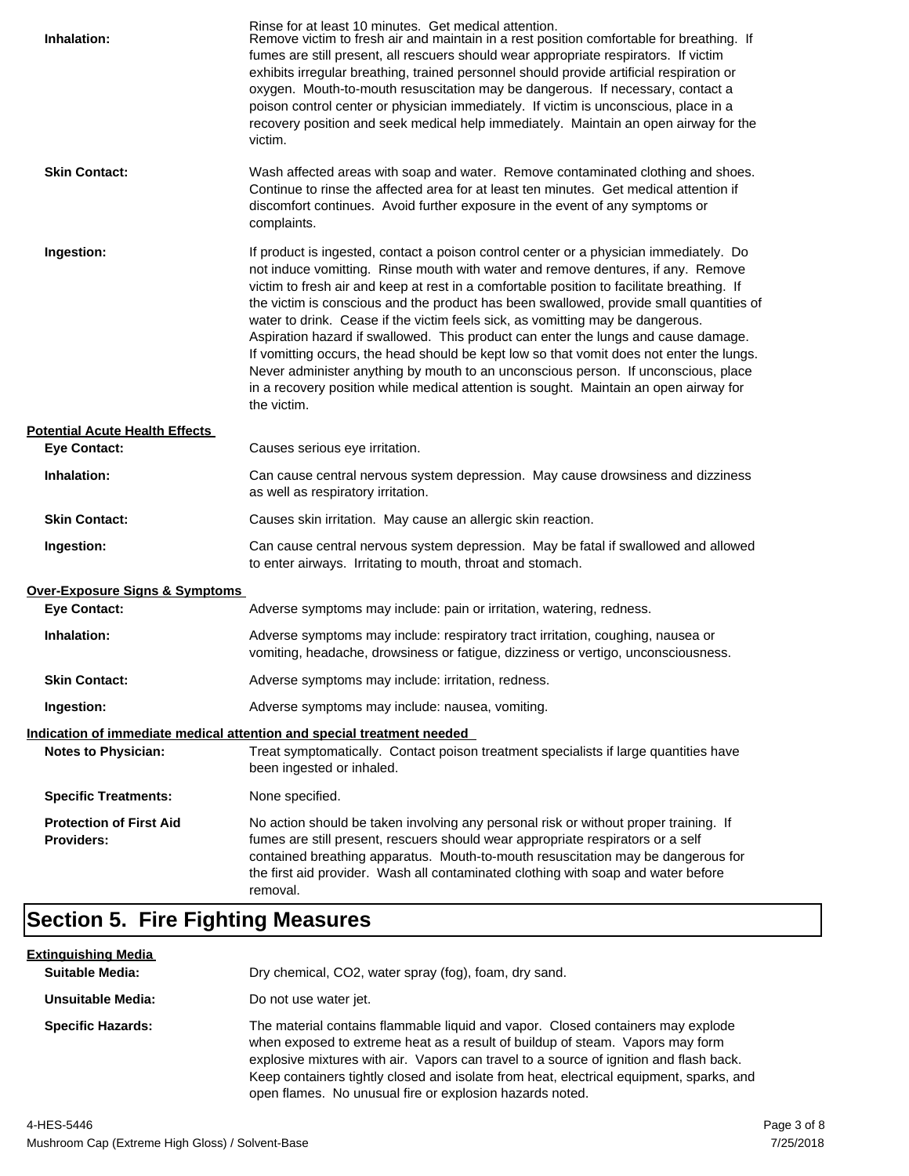| Inhalation:                                         | Rinse for at least 10 minutes. Get medical attention.<br>Remove victim to fresh air and maintain in a rest position comfortable for breathing. If<br>fumes are still present, all rescuers should wear appropriate respirators. If victim<br>exhibits irregular breathing, trained personnel should provide artificial respiration or<br>oxygen. Mouth-to-mouth resuscitation may be dangerous. If necessary, contact a<br>poison control center or physician immediately. If victim is unconscious, place in a<br>recovery position and seek medical help immediately. Maintain an open airway for the<br>victim.                                                                                                                                                                                                                    |
|-----------------------------------------------------|---------------------------------------------------------------------------------------------------------------------------------------------------------------------------------------------------------------------------------------------------------------------------------------------------------------------------------------------------------------------------------------------------------------------------------------------------------------------------------------------------------------------------------------------------------------------------------------------------------------------------------------------------------------------------------------------------------------------------------------------------------------------------------------------------------------------------------------|
| <b>Skin Contact:</b>                                | Wash affected areas with soap and water. Remove contaminated clothing and shoes.<br>Continue to rinse the affected area for at least ten minutes. Get medical attention if<br>discomfort continues. Avoid further exposure in the event of any symptoms or<br>complaints.                                                                                                                                                                                                                                                                                                                                                                                                                                                                                                                                                             |
| Ingestion:                                          | If product is ingested, contact a poison control center or a physician immediately. Do<br>not induce vomitting. Rinse mouth with water and remove dentures, if any. Remove<br>victim to fresh air and keep at rest in a comfortable position to facilitate breathing. If<br>the victim is conscious and the product has been swallowed, provide small quantities of<br>water to drink. Cease if the victim feels sick, as vomitting may be dangerous.<br>Aspiration hazard if swallowed. This product can enter the lungs and cause damage.<br>If vomitting occurs, the head should be kept low so that vomit does not enter the lungs.<br>Never administer anything by mouth to an unconscious person. If unconscious, place<br>in a recovery position while medical attention is sought. Maintain an open airway for<br>the victim. |
| <b>Potential Acute Health Effects</b>               |                                                                                                                                                                                                                                                                                                                                                                                                                                                                                                                                                                                                                                                                                                                                                                                                                                       |
| <b>Eye Contact:</b>                                 | Causes serious eye irritation.                                                                                                                                                                                                                                                                                                                                                                                                                                                                                                                                                                                                                                                                                                                                                                                                        |
| Inhalation:                                         | Can cause central nervous system depression. May cause drowsiness and dizziness<br>as well as respiratory irritation.                                                                                                                                                                                                                                                                                                                                                                                                                                                                                                                                                                                                                                                                                                                 |
| <b>Skin Contact:</b>                                | Causes skin irritation. May cause an allergic skin reaction.                                                                                                                                                                                                                                                                                                                                                                                                                                                                                                                                                                                                                                                                                                                                                                          |
| Ingestion:                                          | Can cause central nervous system depression. May be fatal if swallowed and allowed<br>to enter airways. Irritating to mouth, throat and stomach.                                                                                                                                                                                                                                                                                                                                                                                                                                                                                                                                                                                                                                                                                      |
| Over-Exposure Signs & Symptoms                      |                                                                                                                                                                                                                                                                                                                                                                                                                                                                                                                                                                                                                                                                                                                                                                                                                                       |
| <b>Eye Contact:</b>                                 | Adverse symptoms may include: pain or irritation, watering, redness.                                                                                                                                                                                                                                                                                                                                                                                                                                                                                                                                                                                                                                                                                                                                                                  |
| Inhalation:                                         | Adverse symptoms may include: respiratory tract irritation, coughing, nausea or<br>vomiting, headache, drowsiness or fatigue, dizziness or vertigo, unconsciousness.                                                                                                                                                                                                                                                                                                                                                                                                                                                                                                                                                                                                                                                                  |
| <b>Skin Contact:</b>                                | Adverse symptoms may include: irritation, redness.                                                                                                                                                                                                                                                                                                                                                                                                                                                                                                                                                                                                                                                                                                                                                                                    |
| Ingestion:                                          | Adverse symptoms may include: nausea, vomiting.                                                                                                                                                                                                                                                                                                                                                                                                                                                                                                                                                                                                                                                                                                                                                                                       |
|                                                     | Indication of immediate medical attention and special treatment needed                                                                                                                                                                                                                                                                                                                                                                                                                                                                                                                                                                                                                                                                                                                                                                |
| <b>Notes to Physician:</b>                          | Treat symptomatically. Contact poison treatment specialists if large quantities have<br>been ingested or inhaled.                                                                                                                                                                                                                                                                                                                                                                                                                                                                                                                                                                                                                                                                                                                     |
| <b>Specific Treatments:</b>                         | None specified.                                                                                                                                                                                                                                                                                                                                                                                                                                                                                                                                                                                                                                                                                                                                                                                                                       |
| <b>Protection of First Aid</b><br><b>Providers:</b> | No action should be taken involving any personal risk or without proper training. If<br>fumes are still present, rescuers should wear appropriate respirators or a self<br>contained breathing apparatus. Mouth-to-mouth resuscitation may be dangerous for<br>the first aid provider. Wash all contaminated clothing with soap and water before<br>removal.                                                                                                                                                                                                                                                                                                                                                                                                                                                                          |

## **Section 5. Fire Fighting Measures**

| <u>Extinguishing Media</u> |                                                                                                                                                                                                                                                                                                                                                                                                                   |
|----------------------------|-------------------------------------------------------------------------------------------------------------------------------------------------------------------------------------------------------------------------------------------------------------------------------------------------------------------------------------------------------------------------------------------------------------------|
| <b>Suitable Media:</b>     | Dry chemical, CO2, water spray (fog), foam, dry sand.                                                                                                                                                                                                                                                                                                                                                             |
| Unsuitable Media:          | Do not use water jet.                                                                                                                                                                                                                                                                                                                                                                                             |
| <b>Specific Hazards:</b>   | The material contains flammable liquid and vapor. Closed containers may explode<br>when exposed to extreme heat as a result of buildup of steam. Vapors may form<br>explosive mixtures with air. Vapors can travel to a source of ignition and flash back.<br>Keep containers tightly closed and isolate from heat, electrical equipment, sparks, and<br>open flames. No unusual fire or explosion hazards noted. |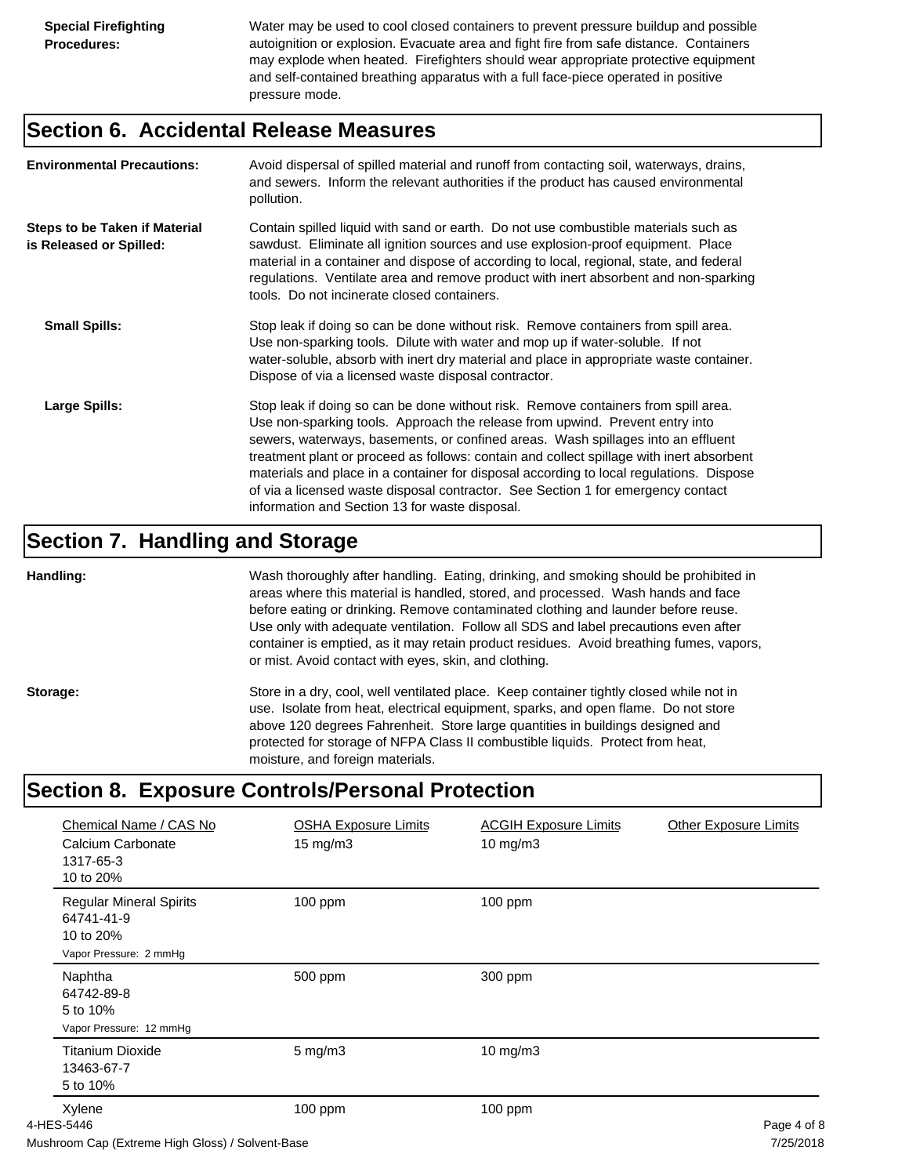Water may be used to cool closed containers to prevent pressure buildup and possible autoignition or explosion. Evacuate area and fight fire from safe distance. Containers may explode when heated. Firefighters should wear appropriate protective equipment and self-contained breathing apparatus with a full face-piece operated in positive pressure mode.

## **Section 6. Accidental Release Measures**

| <b>Environmental Precautions:</b>                               | Avoid dispersal of spilled material and runoff from contacting soil, waterways, drains,<br>and sewers. Inform the relevant authorities if the product has caused environmental<br>pollution.                                                                                                                                                                                                                                                                                                                                                                                        |
|-----------------------------------------------------------------|-------------------------------------------------------------------------------------------------------------------------------------------------------------------------------------------------------------------------------------------------------------------------------------------------------------------------------------------------------------------------------------------------------------------------------------------------------------------------------------------------------------------------------------------------------------------------------------|
| <b>Steps to be Taken if Material</b><br>is Released or Spilled: | Contain spilled liquid with sand or earth. Do not use combustible materials such as<br>sawdust. Eliminate all ignition sources and use explosion-proof equipment. Place<br>material in a container and dispose of according to local, regional, state, and federal<br>regulations. Ventilate area and remove product with inert absorbent and non-sparking<br>tools. Do not incinerate closed containers.                                                                                                                                                                           |
| <b>Small Spills:</b>                                            | Stop leak if doing so can be done without risk. Remove containers from spill area.<br>Use non-sparking tools. Dilute with water and mop up if water-soluble. If not<br>water-soluble, absorb with inert dry material and place in appropriate waste container.<br>Dispose of via a licensed waste disposal contractor.                                                                                                                                                                                                                                                              |
| Large Spills:                                                   | Stop leak if doing so can be done without risk. Remove containers from spill area.<br>Use non-sparking tools. Approach the release from upwind. Prevent entry into<br>sewers, waterways, basements, or confined areas. Wash spillages into an effluent<br>treatment plant or proceed as follows: contain and collect spillage with inert absorbent<br>materials and place in a container for disposal according to local regulations. Dispose<br>of via a licensed waste disposal contractor. See Section 1 for emergency contact<br>information and Section 13 for waste disposal. |

## **Section 7. Handling and Storage**

**Handling:** Wash thoroughly after handling. Eating, drinking, and smoking should be prohibited in areas where this material is handled, stored, and processed. Wash hands and face before eating or drinking. Remove contaminated clothing and launder before reuse. Use only with adequate ventilation. Follow all SDS and label precautions even after container is emptied, as it may retain product residues. Avoid breathing fumes, vapors, or mist. Avoid contact with eyes, skin, and clothing.

Storage: Store in a dry, cool, well ventilated place. Keep container tightly closed while not in use. Isolate from heat, electrical equipment, sparks, and open flame. Do not store above 120 degrees Fahrenheit. Store large quantities in buildings designed and protected for storage of NFPA Class II combustible liquids. Protect from heat, moisture, and foreign materials.

## **Section 8. Exposure Controls/Personal Protection**

| Chemical Name / CAS No<br>Calcium Carbonate<br>1317-65-3<br>10 to 20%               | <b>OSHA Exposure Limits</b><br>$15 \text{ mg/m}$ | <b>ACGIH Exposure Limits</b><br>10 mg/m3 | <b>Other Exposure Limits</b>                                      |
|-------------------------------------------------------------------------------------|--------------------------------------------------|------------------------------------------|-------------------------------------------------------------------|
| <b>Regular Mineral Spirits</b><br>64741-41-9<br>10 to 20%<br>Vapor Pressure: 2 mmHg | 100 ppm                                          | 100 ppm                                  |                                                                   |
| Naphtha<br>64742-89-8<br>5 to 10%<br>Vapor Pressure: 12 mmHg                        | 500 ppm                                          | 300 ppm                                  |                                                                   |
| <b>Titanium Dioxide</b><br>13463-67-7<br>5 to 10%                                   | $5$ mg/m $3$                                     | 10 mg/m3                                 |                                                                   |
| Xylene<br>4-HES-5446                                                                | 100 ppm                                          | $100$ ppm                                | Page 4 of 8<br>$\overline{z}$ in $\overline{z}$ in $\overline{z}$ |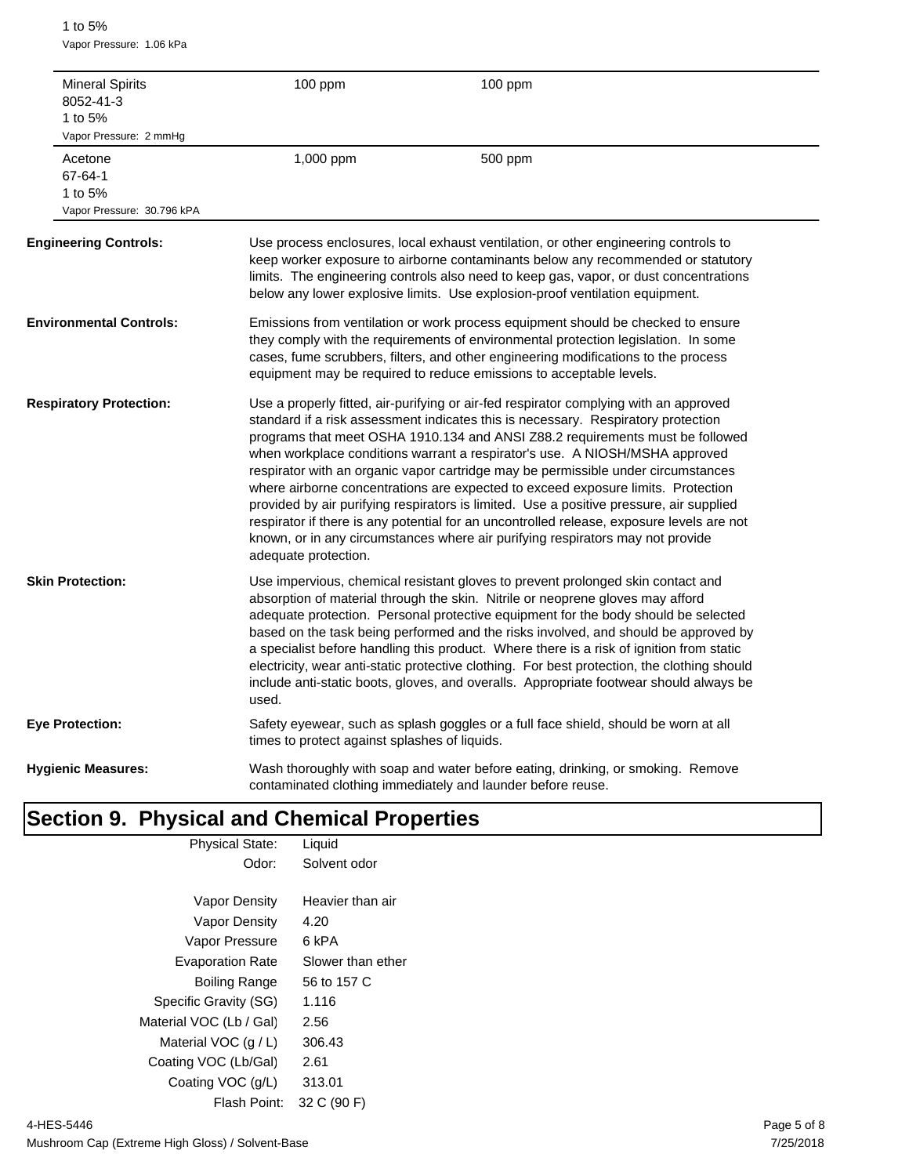1 to 5% Vapor Pressure: 1.06 kPa

| 1 to $5%$                     | <b>Mineral Spirits</b><br>8052-41-3<br>Vapor Pressure: 2 mmHq | 100 ppm                                       | 100 ppm                                                                                                                                                                                                                                                                                                                                                                                                                                                                                                                                                                                                                                                                                                                                                                                       |
|-------------------------------|---------------------------------------------------------------|-----------------------------------------------|-----------------------------------------------------------------------------------------------------------------------------------------------------------------------------------------------------------------------------------------------------------------------------------------------------------------------------------------------------------------------------------------------------------------------------------------------------------------------------------------------------------------------------------------------------------------------------------------------------------------------------------------------------------------------------------------------------------------------------------------------------------------------------------------------|
| Acetone<br>67-64-1<br>1 to 5% | Vapor Pressure: 30.796 kPA                                    | 1,000 ppm                                     | 500 ppm                                                                                                                                                                                                                                                                                                                                                                                                                                                                                                                                                                                                                                                                                                                                                                                       |
|                               | <b>Engineering Controls:</b>                                  |                                               | Use process enclosures, local exhaust ventilation, or other engineering controls to<br>keep worker exposure to airborne contaminants below any recommended or statutory<br>limits. The engineering controls also need to keep gas, vapor, or dust concentrations<br>below any lower explosive limits. Use explosion-proof ventilation equipment.                                                                                                                                                                                                                                                                                                                                                                                                                                              |
|                               | <b>Environmental Controls:</b>                                |                                               | Emissions from ventilation or work process equipment should be checked to ensure<br>they comply with the requirements of environmental protection legislation. In some<br>cases, fume scrubbers, filters, and other engineering modifications to the process<br>equipment may be required to reduce emissions to acceptable levels.                                                                                                                                                                                                                                                                                                                                                                                                                                                           |
|                               | <b>Respiratory Protection:</b>                                | adequate protection.                          | Use a properly fitted, air-purifying or air-fed respirator complying with an approved<br>standard if a risk assessment indicates this is necessary. Respiratory protection<br>programs that meet OSHA 1910.134 and ANSI Z88.2 requirements must be followed<br>when workplace conditions warrant a respirator's use. A NIOSH/MSHA approved<br>respirator with an organic vapor cartridge may be permissible under circumstances<br>where airborne concentrations are expected to exceed exposure limits. Protection<br>provided by air purifying respirators is limited. Use a positive pressure, air supplied<br>respirator if there is any potential for an uncontrolled release, exposure levels are not<br>known, or in any circumstances where air purifying respirators may not provide |
| <b>Skin Protection:</b>       |                                                               | used.                                         | Use impervious, chemical resistant gloves to prevent prolonged skin contact and<br>absorption of material through the skin. Nitrile or neoprene gloves may afford<br>adequate protection. Personal protective equipment for the body should be selected<br>based on the task being performed and the risks involved, and should be approved by<br>a specialist before handling this product. Where there is a risk of ignition from static<br>electricity, wear anti-static protective clothing. For best protection, the clothing should<br>include anti-static boots, gloves, and overalls. Appropriate footwear should always be                                                                                                                                                           |
| <b>Eye Protection:</b>        |                                                               | times to protect against splashes of liquids. | Safety eyewear, such as splash goggles or a full face shield, should be worn at all                                                                                                                                                                                                                                                                                                                                                                                                                                                                                                                                                                                                                                                                                                           |
|                               | <b>Hygienic Measures:</b>                                     |                                               | Wash thoroughly with soap and water before eating, drinking, or smoking. Remove<br>contaminated clothing immediately and launder before reuse.                                                                                                                                                                                                                                                                                                                                                                                                                                                                                                                                                                                                                                                |

# **Section 9. Physical and Chemical Properties**

| <b>Physical State:</b>  | Liquid            |
|-------------------------|-------------------|
| Odor:                   | Solvent odor      |
|                         |                   |
| Vapor Density           | Heavier than air  |
| <b>Vapor Density</b>    | 4.20              |
| Vapor Pressure          | 6 kPA             |
| <b>Evaporation Rate</b> | Slower than ether |
| Boiling Range           | 56 to 157 C       |
| Specific Gravity (SG)   | 1.116             |
| Material VOC (Lb / Gal) | 2.56              |
| Material VOC $(q/L)$    | 306.43            |
| Coating VOC (Lb/Gal)    | 2.61              |
| Coating VOC (g/L)       | 313.01            |
| Flash Point:            | 32 C (90 F)       |
|                         |                   |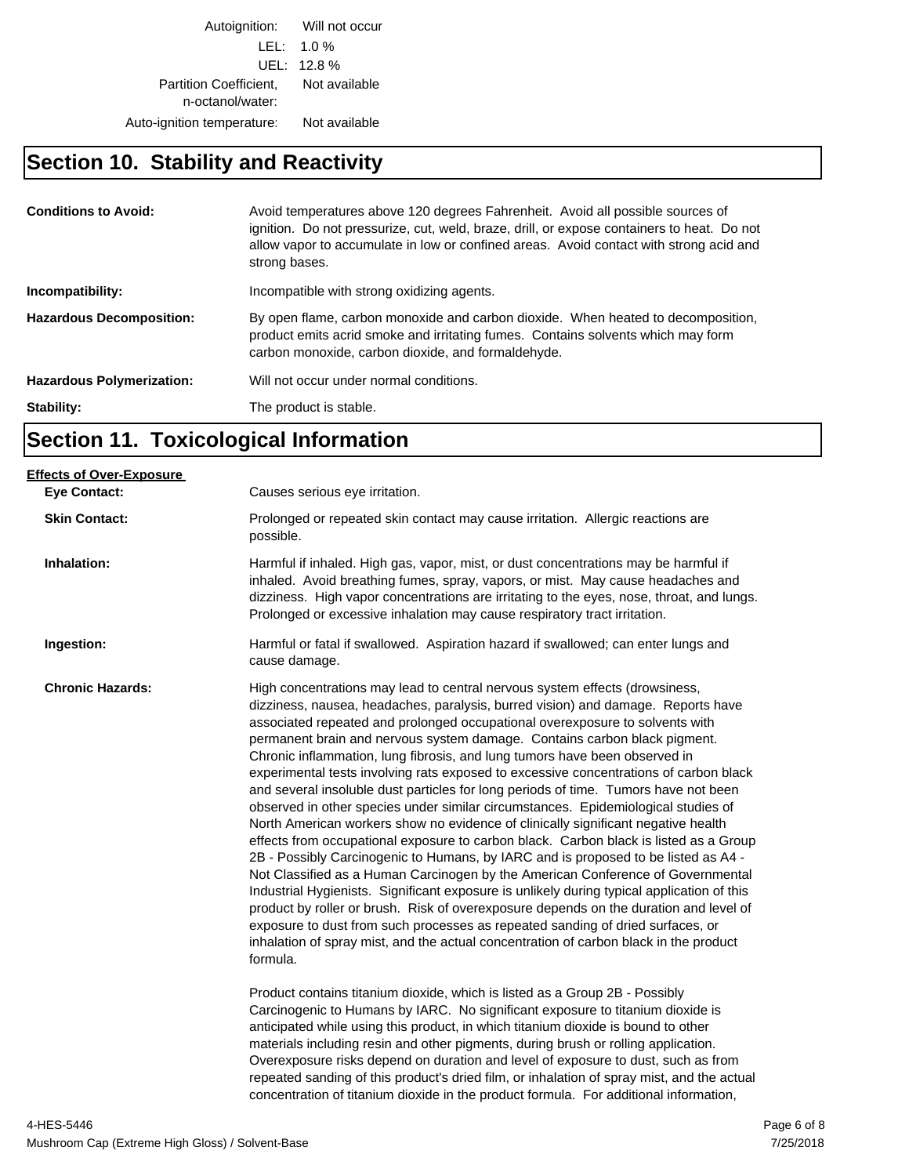Autoignition: Will not occur LEL: 1.0 % UEL: 12.8 % Partition Coefficient, Not available n-octanol/water: Auto-ignition temperature: Not available

## **Section 10. Stability and Reactivity**

| <b>Conditions to Avoid:</b>      | Avoid temperatures above 120 degrees Fahrenheit. Avoid all possible sources of<br>ignition. Do not pressurize, cut, weld, braze, drill, or expose containers to heat. Do not<br>allow vapor to accumulate in low or confined areas. Avoid contact with strong acid and<br>strong bases. |
|----------------------------------|-----------------------------------------------------------------------------------------------------------------------------------------------------------------------------------------------------------------------------------------------------------------------------------------|
| Incompatibility:                 | Incompatible with strong oxidizing agents.                                                                                                                                                                                                                                              |
| <b>Hazardous Decomposition:</b>  | By open flame, carbon monoxide and carbon dioxide. When heated to decomposition,<br>product emits acrid smoke and irritating fumes. Contains solvents which may form<br>carbon monoxide, carbon dioxide, and formaldehyde.                                                              |
| <b>Hazardous Polymerization:</b> | Will not occur under normal conditions.                                                                                                                                                                                                                                                 |
| Stability:                       | The product is stable.                                                                                                                                                                                                                                                                  |

## **Section 11. Toxicological Information**

| <b>Effects of Over-Exposure</b><br><b>Eye Contact:</b> | Causes serious eye irritation.                                                                                                                                                                                                                                                                                                                                                                                                                                                                                                                                                                                                                                                                                                                                                                                                                                                                                                                                                                                                                                                                                                                                                                                                                                                                                                                                                                                                                                                                                                                                                        |
|--------------------------------------------------------|---------------------------------------------------------------------------------------------------------------------------------------------------------------------------------------------------------------------------------------------------------------------------------------------------------------------------------------------------------------------------------------------------------------------------------------------------------------------------------------------------------------------------------------------------------------------------------------------------------------------------------------------------------------------------------------------------------------------------------------------------------------------------------------------------------------------------------------------------------------------------------------------------------------------------------------------------------------------------------------------------------------------------------------------------------------------------------------------------------------------------------------------------------------------------------------------------------------------------------------------------------------------------------------------------------------------------------------------------------------------------------------------------------------------------------------------------------------------------------------------------------------------------------------------------------------------------------------|
| <b>Skin Contact:</b>                                   | Prolonged or repeated skin contact may cause irritation. Allergic reactions are<br>possible.                                                                                                                                                                                                                                                                                                                                                                                                                                                                                                                                                                                                                                                                                                                                                                                                                                                                                                                                                                                                                                                                                                                                                                                                                                                                                                                                                                                                                                                                                          |
| Inhalation:                                            | Harmful if inhaled. High gas, vapor, mist, or dust concentrations may be harmful if<br>inhaled. Avoid breathing fumes, spray, vapors, or mist. May cause headaches and<br>dizziness. High vapor concentrations are irritating to the eyes, nose, throat, and lungs.<br>Prolonged or excessive inhalation may cause respiratory tract irritation.                                                                                                                                                                                                                                                                                                                                                                                                                                                                                                                                                                                                                                                                                                                                                                                                                                                                                                                                                                                                                                                                                                                                                                                                                                      |
| Ingestion:                                             | Harmful or fatal if swallowed. Aspiration hazard if swallowed; can enter lungs and<br>cause damage.                                                                                                                                                                                                                                                                                                                                                                                                                                                                                                                                                                                                                                                                                                                                                                                                                                                                                                                                                                                                                                                                                                                                                                                                                                                                                                                                                                                                                                                                                   |
| <b>Chronic Hazards:</b>                                | High concentrations may lead to central nervous system effects (drowsiness,<br>dizziness, nausea, headaches, paralysis, burred vision) and damage. Reports have<br>associated repeated and prolonged occupational overexposure to solvents with<br>permanent brain and nervous system damage. Contains carbon black pigment.<br>Chronic inflammation, lung fibrosis, and lung tumors have been observed in<br>experimental tests involving rats exposed to excessive concentrations of carbon black<br>and several insoluble dust particles for long periods of time. Tumors have not been<br>observed in other species under similar circumstances. Epidemiological studies of<br>North American workers show no evidence of clinically significant negative health<br>effects from occupational exposure to carbon black. Carbon black is listed as a Group<br>2B - Possibly Carcinogenic to Humans, by IARC and is proposed to be listed as A4 -<br>Not Classified as a Human Carcinogen by the American Conference of Governmental<br>Industrial Hygienists. Significant exposure is unlikely during typical application of this<br>product by roller or brush. Risk of overexposure depends on the duration and level of<br>exposure to dust from such processes as repeated sanding of dried surfaces, or<br>inhalation of spray mist, and the actual concentration of carbon black in the product<br>formula.<br>Product contains titanium dioxide, which is listed as a Group 2B - Possibly<br>Carcinogenic to Humans by IARC. No significant exposure to titanium dioxide is |
|                                                        | anticipated while using this product, in which titanium dioxide is bound to other<br>materials including resin and other pigments, during brush or rolling application.<br>Overexposure risks depend on duration and level of exposure to dust, such as from<br>repeated sanding of this product's dried film, or inhalation of spray mist, and the actual<br>concentration of titanium dioxide in the product formula. For additional information,                                                                                                                                                                                                                                                                                                                                                                                                                                                                                                                                                                                                                                                                                                                                                                                                                                                                                                                                                                                                                                                                                                                                   |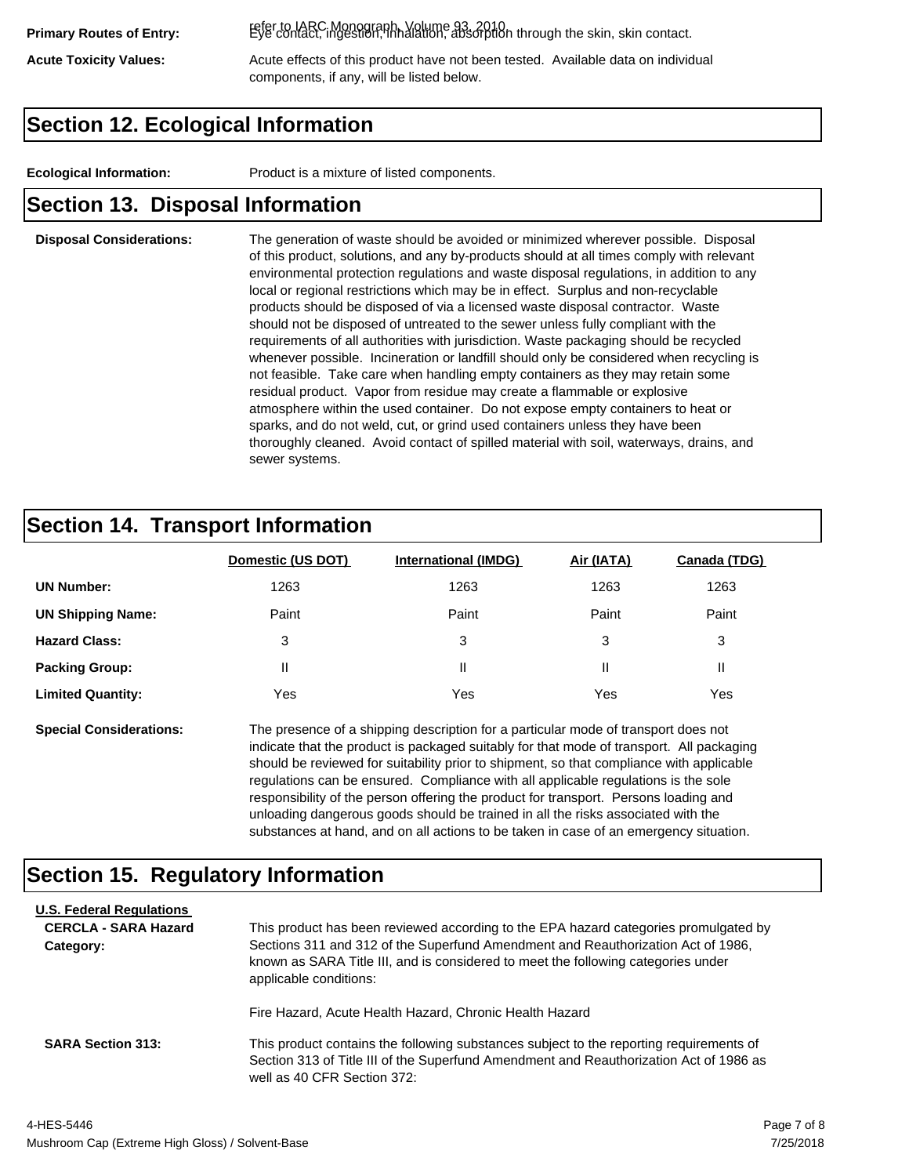refer to IARC Monograph, Volume 93, 2010. **Primary Routes of Entry:** Eye contact, ingestion, inhalation, absorption through the skin, skin contact.

Acute Toxicity Values: **Acute effects of this product have not been tested.** Available data on individual components, if any, will be listed below.

## **Section 12. Ecological Information**

**Ecological Information:** Product is a mixture of listed components.

## **Section 13. Disposal Information**

### **Disposal Considerations:** The generation of waste should be avoided or minimized wherever possible. Disposal of this product, solutions, and any by-products should at all times comply with relevant environmental protection regulations and waste disposal regulations, in addition to any local or regional restrictions which may be in effect. Surplus and non-recyclable products should be disposed of via a licensed waste disposal contractor. Waste should not be disposed of untreated to the sewer unless fully compliant with the requirements of all authorities with jurisdiction. Waste packaging should be recycled whenever possible. Incineration or landfill should only be considered when recycling is not feasible. Take care when handling empty containers as they may retain some residual product. Vapor from residue may create a flammable or explosive atmosphere within the used container. Do not expose empty containers to heat or sparks, and do not weld, cut, or grind used containers unless they have been thoroughly cleaned. Avoid contact of spilled material with soil, waterways, drains, and sewer systems.

## **Section 14. Transport Information**

|                          | Domestic (US DOT) | <b>International (IMDG)</b> | Air (IATA) | Canada (TDG) |
|--------------------------|-------------------|-----------------------------|------------|--------------|
| <b>UN Number:</b>        | 1263              | 1263                        | 1263       | 1263         |
| <b>UN Shipping Name:</b> | Paint             | Paint                       | Paint      | Paint        |
| <b>Hazard Class:</b>     | 3                 | 3                           | 3          | 3            |
| <b>Packing Group:</b>    | Ш                 | Ш                           |            |              |
| <b>Limited Quantity:</b> | Yes               | Yes                         | Yes        | Yes          |

**Special Considerations:** The presence of a shipping description for a particular mode of transport does not indicate that the product is packaged suitably for that mode of transport. All packaging should be reviewed for suitability prior to shipment, so that compliance with applicable regulations can be ensured. Compliance with all applicable regulations is the sole responsibility of the person offering the product for transport. Persons loading and unloading dangerous goods should be trained in all the risks associated with the substances at hand, and on all actions to be taken in case of an emergency situation.

## **Section 15. Regulatory Information**

| <b>U.S. Federal Regulations</b> |                                                                                                                                                                                                                                                            |
|---------------------------------|------------------------------------------------------------------------------------------------------------------------------------------------------------------------------------------------------------------------------------------------------------|
| <b>CERCLA - SARA Hazard</b>     | This product has been reviewed according to the EPA hazard categories promulgated by                                                                                                                                                                       |
| Category:                       | Sections 311 and 312 of the Superfund Amendment and Reauthorization Act of 1986,<br>known as SARA Title III, and is considered to meet the following categories under<br>applicable conditions:<br>Fire Hazard, Acute Health Hazard, Chronic Health Hazard |
| <b>SARA Section 313:</b>        | This product contains the following substances subject to the reporting requirements of<br>Section 313 of Title III of the Superfund Amendment and Reauthorization Act of 1986 as<br>well as 40 CFR Section 372:                                           |